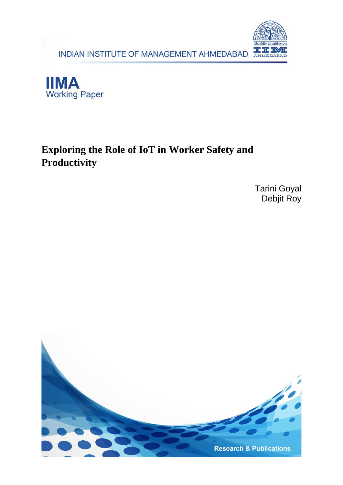INDIAN INSTITUTE OF MANAGEMENT AHMEDABAD





# **Exploring the Role of IoT in Worker Safety and Productivity**

Tarini Goyal Debjit Roy

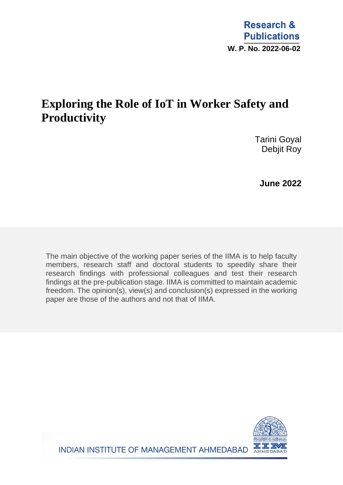# **Exploring the Role of IoT in Worker Safety and Productivity**

 Tarini Goyal Debjit Roy

 **June 2022**

The main objective of the working paper series of the IIMA is to help faculty members, research staff and doctoral students to speedily share their research findings with professional colleagues and test their research findings at the pre-publication stage. IIMA is committed to maintain academic freedom. The opinion(s), view(s) and conclusion(s) expressed in the working paper are those of the authors and not that of IIMA.



INDIAN INSTITUTE OF MANAGEMENT AHMEDABAD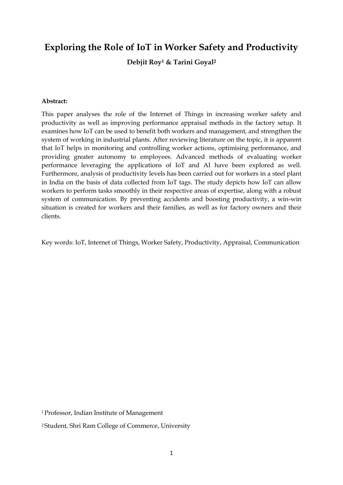# **Exploring the Role of IoT in Worker Safety and Productivity**

**Debjit Roy<sup>1</sup> & Tarini Goyal<sup>2</sup>**

#### **Abstract:**

This paper analyses the role of the Internet of Things in increasing worker safety and productivity as well as improving performance appraisal methods in the factory setup. It examines how IoT can be used to benefit both workers and management, and strengthen the system of working in industrial plants. After reviewing literature on the topic, it is apparent that IoT helps in monitoring and controlling worker actions, optimising performance, and providing greater autonomy to employees. Advanced methods of evaluating worker performance leveraging the applications of IoT and AI have been explored as well. Furthermore, analysis of productivity levels has been carried out for workers in a steel plant in India on the basis of data collected from IoT tags. The study depicts how IoT can allow workers to perform tasks smoothly in their respective areas of expertise, along with a robust system of communication. By preventing accidents and boosting productivity, a win-win situation is created for workers and their families, as well as for factory owners and their clients.

Key words: IoT, Internet of Things, Worker Safety, Productivity, Appraisal, Communication

<sup>1</sup>Professor, Indian Institute of Management

<sup>2</sup> Student, Shri Ram College of Commerce, University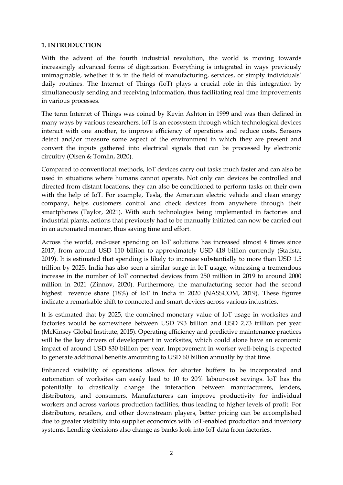#### **1. INTRODUCTION**

With the advent of the fourth industrial revolution, the world is moving towards increasingly advanced forms of digitization. Everything is integrated in ways previously unimaginable, whether it is in the field of manufacturing, services, or simply individuals' daily routines. The Internet of Things (IoT) plays a crucial role in this integration by simultaneously sending and receiving information, thus facilitating real time improvements in various processes.

The term Internet of Things was coined by Kevin Ashton in 1999 and was then defined in many ways by various researchers. IoT is an ecosystem through which technological devices interact with one another, to improve efficiency of operations and reduce costs. Sensors detect and/or measure some aspect of the environment in which they are present and convert the inputs gathered into electrical signals that can be processed by electronic circuitry (Olsen & Tomlin, 2020).

Compared to conventional methods, IoT devices carry out tasks much faster and can also be used in situations where humans cannot operate. Not only can devices be controlled and directed from distant locations, they can also be conditioned to perform tasks on their own with the help of IoT. For example, Tesla, the American electric vehicle and clean energy company, helps customers control and check devices from anywhere through their smartphones (Taylor, 2021). With such technologies being implemented in factories and industrial plants, actions that previously had to be manually initiated can now be carried out in an automated manner, thus saving time and effort.

Across the world, end-user spending on IoT solutions has increased almost 4 times since 2017, from around USD 110 billion to approximately USD 418 billion currently (Statista, 2019). It is estimated that spending is likely to increase substantially to more than USD 1.5 trillion by 2025. India has also seen a similar surge in IoT usage, witnessing a tremendous increase in the number of IoT connected devices from 250 million in 2019 to around 2000 million in 2021 (Zinnov, 2020). Furthermore, the manufacturing sector had the second highest revenue share (18%) of IoT in India in 2020 (NASSCOM, 2019). These figures indicate a remarkable shift to connected and smart devices across various industries.

It is estimated that by 2025, the combined monetary value of IoT usage in worksites and factories would be somewhere between USD 793 billion and USD 2.73 trillion per year (McKinsey Global Institute, 2015). Operating efficiency and predictive maintenance practices will be the key drivers of development in worksites, which could alone have an economic impact of around USD 830 billion per year. Improvement in worker well-being is expected to generate additional benefits amounting to USD 60 billion annually by that time.

Enhanced visibility of operations allows for shorter buffers to be incorporated and automation of worksites can easily lead to 10 to 20% labour-cost savings. IoT has the potentially to drastically change the interaction between manufacturers, lenders, distributors, and consumers. Manufacturers can improve productivity for individual workers and across various production facilities, thus leading to higher levels of profit. For distributors, retailers, and other downstream players, better pricing can be accomplished due to greater visibility into supplier economics with IoT-enabled production and inventory systems. Lending decisions also change as banks look into IoT data from factories.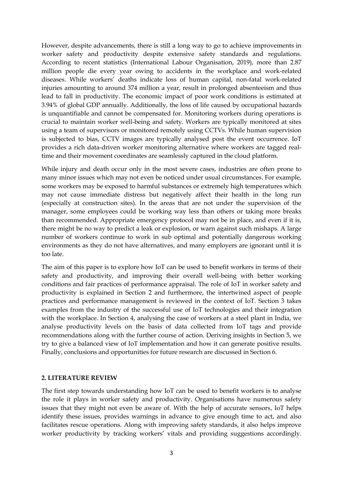However, despite advancements, there is still a long way to go to achieve improvements in worker safety and productivity despite extensive safety standards and regulations. According to recent statistics (International Labour Organisation, 2019), more than 2.87 million people die every year owing to accidents in the workplace and work-related diseases. While workers' deaths indicate loss of human capital, non-fatal work-related injuries amounting to around 374 million a year, result in prolonged absenteeism and thus lead to fall in productivity. The economic impact of poor work conditions is estimated at 3.94% of global GDP annually. Additionally, the loss of life caused by occupational hazards is unquantifiable and cannot be compensated for. Monitoring workers during operations is crucial to maintain worker well-being and safety. Workers are typically monitored at sites using a team of supervisors or monitored remotely using CCTVs. While human supervision is subjected to bias, CCTV images are typically analysed post the event occurrence. IoT provides a rich data-driven worker monitoring alternative where workers are tagged realtime and their movement coordinates are seamlessly captured in the cloud platform.

While injury and death occur only in the most severe cases, industries are often prone to many minor issues which may not even be noticed under usual circumstances. For example, some workers may be exposed to harmful substances or extremely high temperatures which may not cause immediate distress but negatively affect their health in the long run (especially at construction sites). In the areas that are not under the supervision of the manager, some employees could be working way less than others or taking more breaks than recommended. Appropriate emergency protocol may not be in place, and even if it is, there might be no way to predict a leak or explosion, or warn against such mishaps. A large number of workers continue to work in sub optimal and potentially dangerous working environments as they do not have alternatives, and many employers are ignorant until it is too late.

The aim of this paper is to explore how IoT can be used to benefit workers in terms of their safety and productivity, and improving their overall well-being with better working conditions and fair practices of performance appraisal. The role of IoT in worker safety and productivity is explained in Section 2 and furthermore, the intertwined aspect of people practices and performance management is reviewed in the context of IoT. Section 3 takes examples from the industry of the successful use of IoT technologies and their integration with the workplace. In Section 4, analysing the case of workers at a steel plant in India, we analyse productivity levels on the basis of data collected from IoT tags and provide recommendations along with the further course of action. Deriving insights in Section 5, we try to give a balanced view of IoT implementation and how it can generate positive results. Finally, conclusions and opportunities for future research are discussed in Section 6.

#### **2. LITERATURE REVIEW**

The first step towards understanding how IoT can be used to benefit workers is to analyse the role it plays in worker safety and productivity. Organisations have numerous safety issues that they might not even be aware of. With the help of accurate sensors, IoT helps identify these issues, provides warnings in advance to give enough time to act, and also facilitates rescue operations. Along with improving safety standards, it also helps improve worker productivity by tracking workers' vitals and providing suggestions accordingly.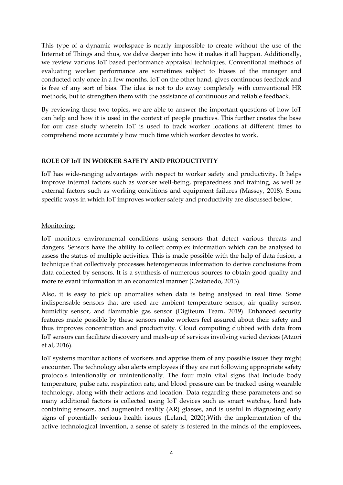This type of a dynamic workspace is nearly impossible to create without the use of the Internet of Things and thus, we delve deeper into how it makes it all happen. Additionally, we review various IoT based performance appraisal techniques. Conventional methods of evaluating worker performance are sometimes subject to biases of the manager and conducted only once in a few months. IoT on the other hand, gives continuous feedback and is free of any sort of bias. The idea is not to do away completely with conventional HR methods, but to strengthen them with the assistance of continuous and reliable feedback.

By reviewing these two topics, we are able to answer the important questions of how IoT can help and how it is used in the context of people practices. This further creates the base for our case study wherein IoT is used to track worker locations at different times to comprehend more accurately how much time which worker devotes to work.

#### **ROLE OF IoT IN WORKER SAFETY AND PRODUCTIVITY**

IoT has wide-ranging advantages with respect to worker safety and productivity. It helps improve internal factors such as worker well-being, preparedness and training, as well as external factors such as working conditions and equipment failures (Massey, 2018). Some specific ways in which IoT improves worker safety and productivity are discussed below.

# Monitoring:

IoT monitors environmental conditions using sensors that detect various threats and dangers. Sensors have the ability to collect complex information which can be analysed to assess the status of multiple activities. This is made possible with the help of data fusion, a technique that collectively processes heterogeneous information to derive conclusions from data collected by sensors. It is a synthesis of numerous sources to obtain good quality and more relevant information in an economical manner (Castanedo, 2013).

Also, it is easy to pick up anomalies when data is being analysed in real time. Some indispensable sensors that are used are ambient temperature sensor, air quality sensor, humidity sensor, and flammable gas sensor (Digiteum Team, 2019). Enhanced security features made possible by these sensors make workers feel assured about their safety and thus improves concentration and productivity. Cloud computing clubbed with data from IoT sensors can facilitate discovery and mash-up of services involving varied devices (Atzori et al, 2016).

IoT systems monitor actions of workers and apprise them of any possible issues they might encounter. The technology also alerts employees if they are not following appropriate safety protocols intentionally or unintentionally. The four main vital signs that include body temperature, pulse rate, respiration rate, and blood pressure can be tracked using wearable technology, along with their actions and location. Data regarding these parameters and so many additional factors is collected using IoT devices such as smart watches, hard hats containing sensors, and augmented reality (AR) glasses, and is useful in diagnosing early signs of potentially serious health issues (Leland, 2020).With the implementation of the active technological invention, a sense of safety is fostered in the minds of the employees,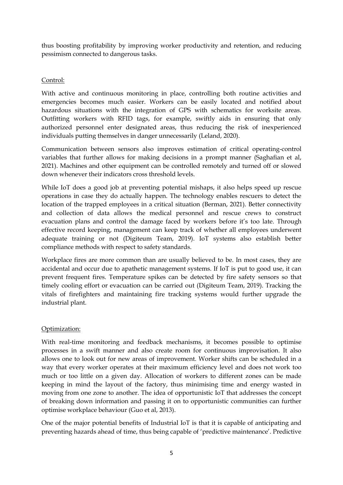thus boosting profitability by improving worker productivity and retention, and reducing pessimism connected to dangerous tasks.

# Control:

With active and continuous monitoring in place, controlling both routine activities and emergencies becomes much easier. Workers can be easily located and notified about hazardous situations with the integration of GPS with schematics for worksite areas. Outfitting workers with RFID tags, for example, swiftly aids in ensuring that only authorized personnel enter designated areas, thus reducing the risk of inexperienced individuals putting themselves in danger unnecessarily (Leland, 2020).

Communication between sensors also improves estimation of critical operating-control variables that further allows for making decisions in a prompt manner (Saghafian et al, 2021). Machines and other equipment can be controlled remotely and turned off or slowed down whenever their indicators cross threshold levels.

While IoT does a good job at preventing potential mishaps, it also helps speed up rescue operations in case they do actually happen. The technology enables rescuers to detect the location of the trapped employees in a critical situation (Berman, 2021). Better connectivity and collection of data allows the medical personnel and rescue crews to construct evacuation plans and control the damage faced by workers before it's too late. Through effective record keeping, management can keep track of whether all employees underwent adequate training or not (Digiteum Team, 2019). IoT systems also establish better compliance methods with respect to safety standards.

Workplace fires are more common than are usually believed to be. In most cases, they are accidental and occur due to apathetic management systems. If IoT is put to good use, it can prevent frequent fires. Temperature spikes can be detected by fire safety sensors so that timely cooling effort or evacuation can be carried out (Digiteum Team, 2019). Tracking the vitals of firefighters and maintaining fire tracking systems would further upgrade the industrial plant.

# Optimization:

With real-time monitoring and feedback mechanisms, it becomes possible to optimise processes in a swift manner and also create room for continuous improvisation. It also allows one to look out for new areas of improvement. Worker shifts can be scheduled in a way that every worker operates at their maximum efficiency level and does not work too much or too little on a given day. Allocation of workers to different zones can be made keeping in mind the layout of the factory, thus minimising time and energy wasted in moving from one zone to another. The idea of opportunistic IoT that addresses the concept of breaking down information and passing it on to opportunistic communities can further optimise workplace behaviour (Guo et al, 2013).

One of the major potential benefits of Industrial IoT is that it is capable of anticipating and preventing hazards ahead of time, thus being capable of 'predictive maintenance'. Predictive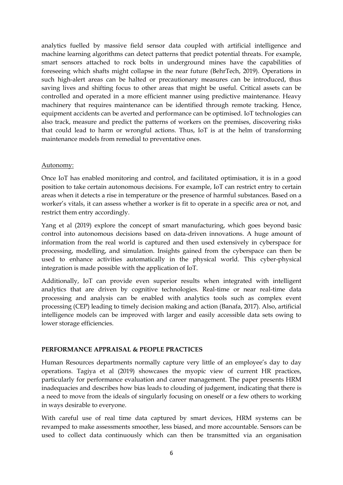analytics fuelled by massive field sensor data coupled with artificial intelligence and machine learning algorithms can detect patterns that predict potential threats. For example, smart sensors attached to rock bolts in underground mines have the capabilities of foreseeing which shafts might collapse in the near future (BehrTech, 2019). Operations in such high-alert areas can be halted or precautionary measures can be introduced, thus saving lives and shifting focus to other areas that might be useful. Critical assets can be controlled and operated in a more efficient manner using predictive maintenance. Heavy machinery that requires maintenance can be identified through remote tracking. Hence, equipment accidents can be averted and performance can be optimised. IoT technologies can also track, measure and predict the patterns of workers on the premises, discovering risks that could lead to harm or wrongful actions. Thus, IoT is at the helm of transforming maintenance models from remedial to preventative ones.

# Autonomy:

Once IoT has enabled monitoring and control, and facilitated optimisation, it is in a good position to take certain autonomous decisions. For example, IoT can restrict entry to certain areas when it detects a rise in temperature or the presence of harmful substances. Based on a worker's vitals, it can assess whether a worker is fit to operate in a specific area or not, and restrict them entry accordingly.

Yang et al (2019) explore the concept of smart manufacturing, which goes beyond basic control into autonomous decisions based on data-driven innovations. A huge amount of information from the real world is captured and then used extensively in cyberspace for processing, modelling, and simulation. Insights gained from the cyberspace can then be used to enhance activities automatically in the physical world. This cyber-physical integration is made possible with the application of IoT.

Additionally, IoT can provide even superior results when integrated with intelligent analytics that are driven by cognitive technologies. Real-time or near real-time data processing and analysis can be enabled with analytics tools such as complex event processing (CEP) leading to timely decision making and action (Banafa, 2017). Also, artificial intelligence models can be improved with larger and easily accessible data sets owing to lower storage efficiencies.

#### **PERFORMANCE APPRAISAL & PEOPLE PRACTICES**

Human Resources departments normally capture very little of an employee's day to day operations. Tagiya et al (2019) showcases the myopic view of current HR practices, particularly for performance evaluation and career management. The paper presents HRM inadequacies and describes how bias leads to clouding of judgement, indicating that there is a need to move from the ideals of singularly focusing on oneself or a few others to working in ways desirable to everyone.

With careful use of real time data captured by smart devices, HRM systems can be revamped to make assessments smoother, less biased, and more accountable. Sensors can be used to collect data continuously which can then be transmitted via an organisation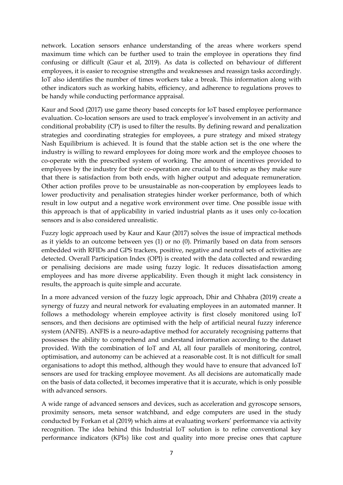network. Location sensors enhance understanding of the areas where workers spend maximum time which can be further used to train the employee in operations they find confusing or difficult (Gaur et al, 2019). As data is collected on behaviour of different employees, it is easier to recognise strengths and weaknesses and reassign tasks accordingly. IoT also identifies the number of times workers take a break. This information along with other indicators such as working habits, efficiency, and adherence to regulations proves to be handy while conducting performance appraisal.

Kaur and Sood (2017) use game theory based concepts for IoT based employee performance evaluation. Co-location sensors are used to track employee's involvement in an activity and conditional probability (CP) is used to filter the results. By defining reward and penalization strategies and coordinating strategies for employees, a pure strategy and mixed strategy Nash Equilibrium is achieved. It is found that the stable action set is the one where the industry is willing to reward employees for doing more work and the employee chooses to co-operate with the prescribed system of working. The amount of incentives provided to employees by the industry for their co-operation are crucial to this setup as they make sure that there is satisfaction from both ends, with higher output and adequate remuneration. Other action profiles prove to be unsustainable as non-cooperation by employees leads to lower productivity and penalisation strategies hinder worker performance, both of which result in low output and a negative work environment over time. One possible issue with this approach is that of applicability in varied industrial plants as it uses only co-location sensors and is also considered unrealistic.

Fuzzy logic approach used by Kaur and Kaur (2017) solves the issue of impractical methods as it yields to an outcome between yes (1) or no (0). Primarily based on data from sensors embedded with RFIDs and GPS trackers, positive, negative and neutral sets of activities are detected. Overall Participation Index (OPI) is created with the data collected and rewarding or penalising decisions are made using fuzzy logic. It reduces dissatisfaction among employees and has more diverse applicability. Even though it might lack consistency in results, the approach is quite simple and accurate.

In a more advanced version of the fuzzy logic approach, Dhir and Chhabra (2019) create a synergy of fuzzy and neural network for evaluating employees in an automated manner. It follows a methodology wherein employee activity is first closely monitored using IoT sensors, and then decisions are optimised with the help of artificial neural fuzzy inference system (ANFIS). ANFIS is a neuro-adaptive method for accurately recognising patterns that possesses the ability to comprehend and understand information according to the dataset provided. With the combination of IoT and AI, all four parallels of monitoring, control, optimisation, and autonomy can be achieved at a reasonable cost. It is not difficult for small organisations to adopt this method, although they would have to ensure that advanced IoT sensors are used for tracking employee movement. As all decisions are automatically made on the basis of data collected, it becomes imperative that it is accurate, which is only possible with advanced sensors.

A wide range of advanced sensors and devices, such as acceleration and gyroscope sensors, proximity sensors, meta sensor watchband, and edge computers are used in the study conducted by Forkan et al (2019) which aims at evaluating workers' performance via activity recognition. The idea behind this Industrial IoT solution is to refine conventional key performance indicators (KPIs) like cost and quality into more precise ones that capture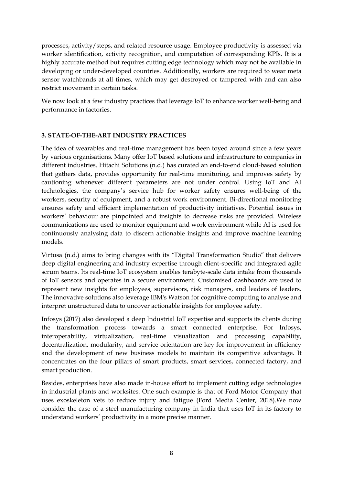processes, activity/steps, and related resource usage. Employee productivity is assessed via worker identification, activity recognition, and computation of corresponding KPIs. It is a highly accurate method but requires cutting edge technology which may not be available in developing or under-developed countries. Additionally, workers are required to wear meta sensor watchbands at all times, which may get destroyed or tampered with and can also restrict movement in certain tasks.

We now look at a few industry practices that leverage IoT to enhance worker well-being and performance in factories.

# **3. STATE-OF-THE-ART INDUSTRY PRACTICES**

The idea of wearables and real-time management has been toyed around since a few years by various organisations. Many offer IoT based solutions and infrastructure to companies in different industries. Hitachi Solutions (n.d.) has curated an end-to-end cloud-based solution that gathers data, provides opportunity for real-time monitoring, and improves safety by cautioning whenever different parameters are not under control. Using IoT and AI technologies, the company's service hub for worker safety ensures well-being of the workers, security of equipment, and a robust work environment. Bi-directional monitoring ensures safety and efficient implementation of productivity initiatives. Potential issues in workers' behaviour are pinpointed and insights to decrease risks are provided. Wireless communications are used to monitor equipment and work environment while AI is used for continuously analysing data to discern actionable insights and improve machine learning models.

Virtusa (n.d.) aims to bring changes with its "Digital Transformation Studio" that delivers deep digital engineering and industry expertise through client-specific and integrated agile scrum teams. Its real-time IoT ecosystem enables terabyte-scale data intake from thousands of IoT sensors and operates in a secure environment. Customised dashboards are used to represent new insights for employees, supervisors, risk managers, and leaders of leaders. The innovative solutions also leverage IBM's Watson for cognitive computing to analyse and interpret unstructured data to uncover actionable insights for employee safety.

Infosys (2017) also developed a deep Industrial IoT expertise and supports its clients during the transformation process towards a smart connected enterprise. For Infosys, interoperability, virtualization, real-time visualization and processing capability, decentralization, modularity, and service orientation are key for improvement in efficiency and the development of new business models to maintain its competitive advantage. It concentrates on the four pillars of smart products, smart services, connected factory, and smart production.

Besides, enterprises have also made in-house effort to implement cutting edge technologies in industrial plants and worksites. One such example is that of Ford Motor Company that uses exoskeleton vets to reduce injury and fatigue (Ford Media Center, 2018).We now consider the case of a steel manufacturing company in India that uses IoT in its factory to understand workers' productivity in a more precise manner.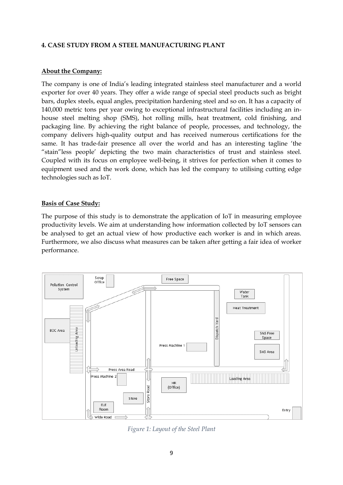# **4. CASE STUDY FROM A STEEL MANUFACTURING PLANT**

#### **About the Company:**

The company is one of India's leading integrated stainless steel manufacturer and a world exporter for over 40 years. They offer a wide range of special steel products such as bright bars, duplex steels, equal angles, precipitation hardening steel and so on. It has a capacity of 140,000 metric tons per year owing to exceptional infrastructural facilities including an inhouse steel melting shop (SMS), hot rolling mills, heat treatment, cold finishing, and packaging line. By achieving the right balance of people, processes, and technology, the company delivers high-quality output and has received numerous certifications for the same. It has trade-fair presence all over the world and has an interesting tagline 'the "stain"less people' depicting the two main characteristics of trust and stainless steel. Coupled with its focus on employee well-being, it strives for perfection when it comes to equipment used and the work done, which has led the company to utilising cutting edge technologies such as IoT.

# **Basis of Case Study:**

The purpose of this study is to demonstrate the application of IoT in measuring employee productivity levels. We aim at understanding how information collected by IoT sensors can be analysed to get an actual view of how productive each worker is and in which areas. Furthermore, we also discuss what measures can be taken after getting a fair idea of worker performance.



*Figure 1: Layout of the Steel Plant*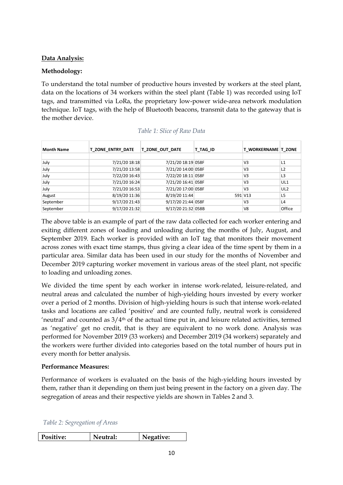# **Data Analysis:**

# **Methodology:**

To understand the total number of productive hours invested by workers at the steel plant, data on the locations of 34 workers within the steel plant (Table 1) was recorded using IoT tags, and transmitted via LoRa, the proprietary low-power wide-area network modulation technique. IoT tags, with the help of Bluetooth beacons, transmit data to the gateway that is the mother device.

| <b>Month Name</b> | <b>T ZONE ENTRY DATE</b> | <b>T ZONE OUT DATE</b> | T TAG ID | T WORKERNAME   T ZONE |                 |
|-------------------|--------------------------|------------------------|----------|-----------------------|-----------------|
|                   |                          |                        |          |                       |                 |
| July              | 7/21/20 18:18            | 7/21/20 18:19 058F     |          | V <sub>3</sub>        | L1              |
| July              | 7/21/20 13:58            | 7/21/20 14:00 058F     |          | V <sub>3</sub>        | L <sub>2</sub>  |
| July              | 7/22/20 16:43            | 7/22/20 18:11 058F     |          | V <sub>3</sub>        | L3              |
| July              | 7/21/20 16:24            | 7/21/20 16:41 058F     |          | V <sub>3</sub>        | UL1             |
| July              | 7/21/20 16:53            | 7/21/20 17:00 058F     |          | V <sub>3</sub>        | UL <sub>2</sub> |
| August            | 8/19/20 11:36            | 8/19/20 11:44          |          | 591 V13               | L5              |
| September         | 9/17/20 21:43            | 9/17/20 21:44 058F     |          | V <sub>3</sub>        | L4              |
| September         | 9/17/20 21:32            | 9/17/20 21:32 058B     |          | V <sub>8</sub>        | Office          |

| Table 1: Slice of Raw Data |  |  |  |
|----------------------------|--|--|--|
|                            |  |  |  |

The above table is an example of part of the raw data collected for each worker entering and exiting different zones of loading and unloading during the months of July, August, and September 2019. Each worker is provided with an IoT tag that monitors their movement across zones with exact time stamps, thus giving a clear idea of the time spent by them in a particular area. Similar data has been used in our study for the months of November and December 2019 capturing worker movement in various areas of the steel plant, not specific to loading and unloading zones.

We divided the time spent by each worker in intense work-related, leisure-related, and neutral areas and calculated the number of high-yielding hours invested by every worker over a period of 2 months. Division of high-yielding hours is such that intense work-related tasks and locations are called 'positive' and are counted fully, neutral work is considered 'neutral' and counted as  $3/4$ <sup>th</sup> of the actual time put in, and leisure related activities, termed as 'negative' get no credit, that is they are equivalent to no work done. Analysis was performed for November 2019 (33 workers) and December 2019 (34 workers) separately and the workers were further divided into categories based on the total number of hours put in every month for better analysis.

#### **Performance Measures:**

Performance of workers is evaluated on the basis of the high-yielding hours invested by them, rather than it depending on them just being present in the factory on a given day. The segregation of areas and their respective yields are shown in Tables 2 and 3.

| Positive: | Neutral: | Negative: |
|-----------|----------|-----------|
|-----------|----------|-----------|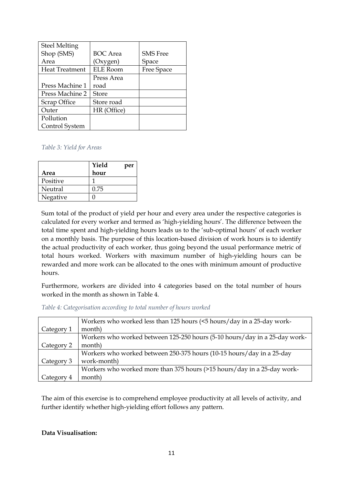| <b>Steel Melting</b>  |                 |                 |
|-----------------------|-----------------|-----------------|
| Shop (SMS)            | <b>BOC</b> Area | <b>SMS</b> Free |
| Area                  | (Oxygen)        | Space           |
| <b>Heat Treatment</b> | <b>ELE Room</b> | Free Space      |
|                       | Press Area      |                 |
| Press Machine 1       | road            |                 |
| Press Machine 2       | <b>Store</b>    |                 |
| Scrap Office          | Store road      |                 |
| Outer                 | HR (Office)     |                 |
| Pollution             |                 |                 |
| Control System        |                 |                 |

#### *Table 3: Yield for Areas*

|          | Yield | per |
|----------|-------|-----|
| Area     | hour  |     |
| Positive |       |     |
| Neutral  | 0.75  |     |
| Negative |       |     |

Sum total of the product of yield per hour and every area under the respective categories is calculated for every worker and termed as 'high-yielding hours'. The difference between the total time spent and high-yielding hours leads us to the 'sub-optimal hours' of each worker on a monthly basis. The purpose of this location-based division of work hours is to identify the actual productivity of each worker, thus going beyond the usual performance metric of total hours worked. Workers with maximum number of high-yielding hours can be rewarded and more work can be allocated to the ones with minimum amount of productive hours.

Furthermore, workers are divided into 4 categories based on the total number of hours worked in the month as shown in Table 4.

|            | Workers who worked less than 125 hours (<5 hours/day in a 25-day work-     |
|------------|----------------------------------------------------------------------------|
| Category 1 | month)                                                                     |
|            | Workers who worked between 125-250 hours (5-10 hours/day in a 25-day work- |
| Category 2 | month)                                                                     |
|            | Workers who worked between 250-375 hours (10-15 hours/day in a 25-day      |
| Category 3 | work-month)                                                                |
|            | Workers who worked more than 375 hours (>15 hours/day in a 25-day work-    |
| Category 4 | month)                                                                     |

The aim of this exercise is to comprehend employee productivity at all levels of activity, and further identify whether high-yielding effort follows any pattern.

#### **Data Visualisation:**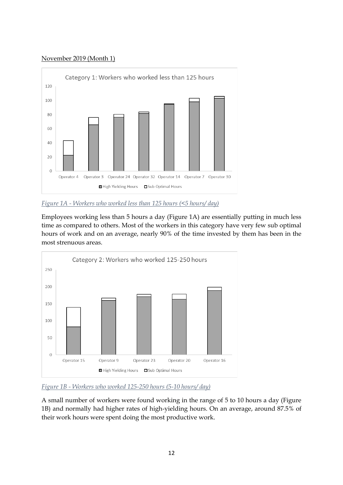# November 2019 (Month 1)



# *Figure 1A - Workers who worked less than 125 hours (<5 hours/ day)*

Employees working less than 5 hours a day (Figure 1A) are essentially putting in much less time as compared to others. Most of the workers in this category have very few sub optimal hours of work and on an average, nearly 90% of the time invested by them has been in the most strenuous areas.



#### *Figure 1B - Workers who worked 125-250 hours (5-10 hours/ day)*

A small number of workers were found working in the range of 5 to 10 hours a day (Figure 1B) and normally had higher rates of high-yielding hours. On an average, around 87.5% of their work hours were spent doing the most productive work.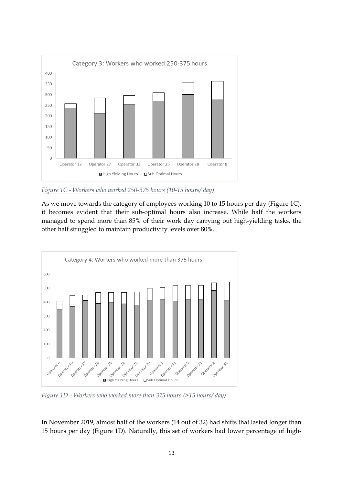

*Figure 1C - Workers who worked 250-375 hours (10-15 hours/ day)*

As we move towards the category of employees working 10 to 15 hours per day (Figure 1C), it becomes evident that their sub-optimal hours also increase. While half the workers managed to spend more than 85% of their work day carrying out high-yielding tasks, the other half struggled to maintain productivity levels over 80%.



*Figure 1D - Workers who worked more than 375 hours (>15 hours/ day)*

In November 2019, almost half of the workers (14 out of 32) had shifts that lasted longer than 15 hours per day (Figure 1D). Naturally, this set of workers had lower percentage of high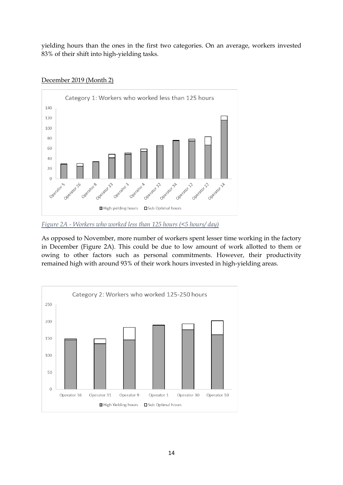yielding hours than the ones in the first two categories. On an average, workers invested 83% of their shift into high-yielding tasks.



# December 2019 (Month 2)

As opposed to November, more number of workers spent lesser time working in the factory in December (Figure 2A). This could be due to low amount of work allotted to them or owing to other factors such as personal commitments. However, their productivity remained high with around 93% of their work hours invested in high-yielding areas.



*Figure 2A - Workers who worked less than 125 hours (<5 hours/ day)*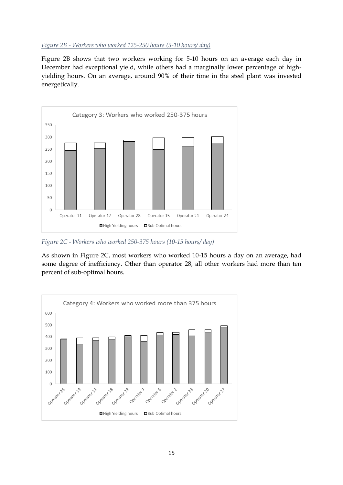#### *Figure 2B - Workers who worked 125-250 hours (5-10 hours/ day)*

Figure 2B shows that two workers working for 5-10 hours on an average each day in December had exceptional yield, while others had a marginally lower percentage of highyielding hours. On an average, around 90% of their time in the steel plant was invested energetically.



*Figure 2C - Workers who worked 250-375 hours (10-15 hours/ day)*

As shown in Figure 2C, most workers who worked 10-15 hours a day on an average, had some degree of inefficiency. Other than operator 28, all other workers had more than ten percent of sub-optimal hours.

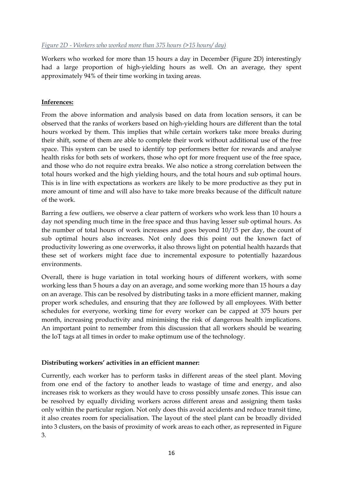#### *Figure 2D - Workers who worked more than 375 hours (>15 hours/ day)*

Workers who worked for more than 15 hours a day in December (Figure 2D) interestingly had a large proportion of high-yielding hours as well. On an average, they spent approximately 94% of their time working in taxing areas.

#### **Inferences:**

From the above information and analysis based on data from location sensors, it can be observed that the ranks of workers based on high-yielding hours are different than the total hours worked by them. This implies that while certain workers take more breaks during their shift, some of them are able to complete their work without additional use of the free space. This system can be used to identify top performers better for rewards and analyse health risks for both sets of workers, those who opt for more frequent use of the free space, and those who do not require extra breaks. We also notice a strong correlation between the total hours worked and the high yielding hours, and the total hours and sub optimal hours. This is in line with expectations as workers are likely to be more productive as they put in more amount of time and will also have to take more breaks because of the difficult nature of the work.

Barring a few outliers, we observe a clear pattern of workers who work less than 10 hours a day not spending much time in the free space and thus having lesser sub optimal hours. As the number of total hours of work increases and goes beyond 10/15 per day, the count of sub optimal hours also increases. Not only does this point out the known fact of productivity lowering as one overworks, it also throws light on potential health hazards that these set of workers might face due to incremental exposure to potentially hazardous environments.

Overall, there is huge variation in total working hours of different workers, with some working less than 5 hours a day on an average, and some working more than 15 hours a day on an average. This can be resolved by distributing tasks in a more efficient manner, making proper work schedules, and ensuring that they are followed by all employees. With better schedules for everyone, working time for every worker can be capped at 375 hours per month, increasing productivity and minimising the risk of dangerous health implications. An important point to remember from this discussion that all workers should be wearing the IoT tags at all times in order to make optimum use of the technology.

#### **Distributing workers' activities in an efficient manner:**

Currently, each worker has to perform tasks in different areas of the steel plant. Moving from one end of the factory to another leads to wastage of time and energy, and also increases risk to workers as they would have to cross possibly unsafe zones. This issue can be resolved by equally dividing workers across different areas and assigning them tasks only within the particular region. Not only does this avoid accidents and reduce transit time, it also creates room for specialisation. The layout of the steel plant can be broadly divided into 3 clusters, on the basis of proximity of work areas to each other, as represented in Figure 3.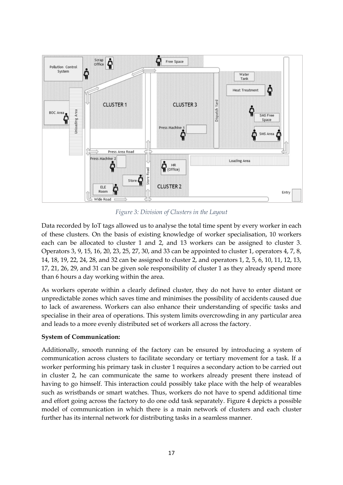

*Figure 3: Division of Clusters in the Layout*

Data recorded by IoT tags allowed us to analyse the total time spent by every worker in each of these clusters. On the basis of existing knowledge of worker specialisation, 10 workers each can be allocated to cluster 1 and 2, and 13 workers can be assigned to cluster 3. Operators 3, 9, 15, 16, 20, 23, 25, 27, 30, and 33 can be appointed to cluster 1, operators 4, 7, 8, 14, 18, 19, 22, 24, 28, and 32 can be assigned to cluster 2, and operators 1, 2, 5, 6, 10, 11, 12, 13, 17, 21, 26, 29, and 31 can be given sole responsibility of cluster 1 as they already spend more than 6 hours a day working within the area.

As workers operate within a clearly defined cluster, they do not have to enter distant or unpredictable zones which saves time and minimises the possibility of accidents caused due to lack of awareness. Workers can also enhance their understanding of specific tasks and specialise in their area of operations. This system limits overcrowding in any particular area and leads to a more evenly distributed set of workers all across the factory.

#### **System of Communication:**

Additionally, smooth running of the factory can be ensured by introducing a system of communication across clusters to facilitate secondary or tertiary movement for a task. If a worker performing his primary task in cluster 1 requires a secondary action to be carried out in cluster 2, he can communicate the same to workers already present there instead of having to go himself. This interaction could possibly take place with the help of wearables such as wristbands or smart watches. Thus, workers do not have to spend additional time and effort going across the factory to do one odd task separately. Figure 4 depicts a possible model of communication in which there is a main network of clusters and each cluster further has its internal network for distributing tasks in a seamless manner.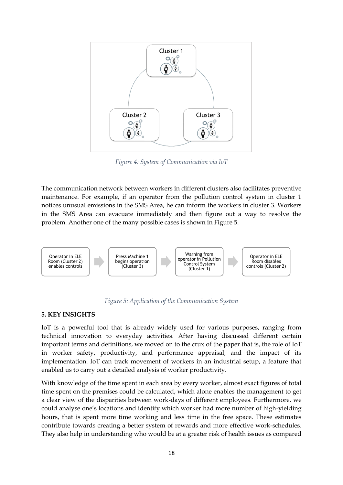

*Figure 4: System of Communication via IoT*

The communication network between workers in different clusters also facilitates preventive maintenance. For example, if an operator from the pollution control system in cluster 1 notices unusual emissions in the SMS Area, he can inform the workers in cluster 3. Workers in the SMS Area can evacuate immediately and then figure out a way to resolve the problem. Another one of the many possible cases is shown in Figure 5.





# **5. KEY INSIGHTS**

IoT is a powerful tool that is already widely used for various purposes, ranging from technical innovation to everyday activities. After having discussed different certain important terms and definitions, we moved on to the crux of the paper that is, the role of IoT in worker safety, productivity, and performance appraisal, and the impact of its implementation. IoT can track movement of workers in an industrial setup, a feature that enabled us to carry out a detailed analysis of worker productivity.

With knowledge of the time spent in each area by every worker, almost exact figures of total time spent on the premises could be calculated, which alone enables the management to get a clear view of the disparities between work-days of different employees. Furthermore, we could analyse one's locations and identify which worker had more number of high-yielding hours, that is spent more time working and less time in the free space. These estimates contribute towards creating a better system of rewards and more effective work-schedules. They also help in understanding who would be at a greater risk of health issues as compared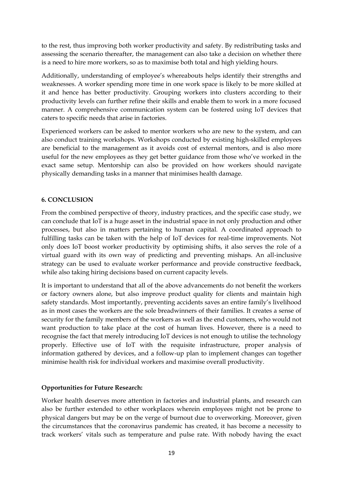to the rest, thus improving both worker productivity and safety. By redistributing tasks and assessing the scenario thereafter, the management can also take a decision on whether there is a need to hire more workers, so as to maximise both total and high yielding hours.

Additionally, understanding of employee's whereabouts helps identify their strengths and weaknesses. A worker spending more time in one work space is likely to be more skilled at it and hence has better productivity. Grouping workers into clusters according to their productivity levels can further refine their skills and enable them to work in a more focused manner. A comprehensive communication system can be fostered using IoT devices that caters to specific needs that arise in factories.

Experienced workers can be asked to mentor workers who are new to the system, and can also conduct training workshops. Workshops conducted by existing high-skilled employees are beneficial to the management as it avoids cost of external mentors, and is also more useful for the new employees as they get better guidance from those who've worked in the exact same setup. Mentorship can also be provided on how workers should navigate physically demanding tasks in a manner that minimises health damage.

# **6. CONCLUSION**

From the combined perspective of theory, industry practices, and the specific case study, we can conclude that IoT is a huge asset in the industrial space in not only production and other processes, but also in matters pertaining to human capital. A coordinated approach to fulfilling tasks can be taken with the help of IoT devices for real-time improvements. Not only does IoT boost worker productivity by optimising shifts, it also serves the role of a virtual guard with its own way of predicting and preventing mishaps. An all-inclusive strategy can be used to evaluate worker performance and provide constructive feedback, while also taking hiring decisions based on current capacity levels.

It is important to understand that all of the above advancements do not benefit the workers or factory owners alone, but also improve product quality for clients and maintain high safety standards. Most importantly, preventing accidents saves an entire family's livelihood as in most cases the workers are the sole breadwinners of their families. It creates a sense of security for the family members of the workers as well as the end customers, who would not want production to take place at the cost of human lives. However, there is a need to recognise the fact that merely introducing IoT devices is not enough to utilise the technology properly. Effective use of IoT with the requisite infrastructure, proper analysis of information gathered by devices, and a follow-up plan to implement changes can together minimise health risk for individual workers and maximise overall productivity.

#### **Opportunities for Future Research:**

Worker health deserves more attention in factories and industrial plants, and research can also be further extended to other workplaces wherein employees might not be prone to physical dangers but may be on the verge of burnout due to overworking. Moreover, given the circumstances that the coronavirus pandemic has created, it has become a necessity to track workers' vitals such as temperature and pulse rate. With nobody having the exact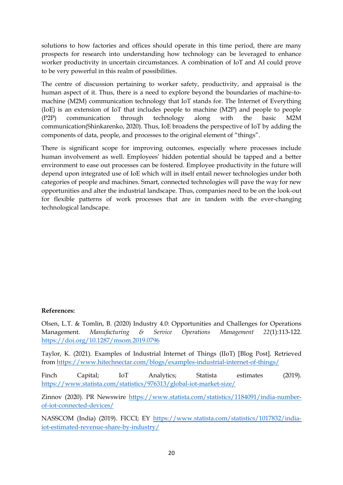solutions to how factories and offices should operate in this time period, there are many prospects for research into understanding how technology can be leveraged to enhance worker productivity in uncertain circumstances. A combination of IoT and AI could prove to be very powerful in this realm of possibilities.

The centre of discussion pertaining to worker safety, productivity, and appraisal is the human aspect of it. Thus, there is a need to explore beyond the boundaries of machine-tomachine (M2M) communication technology that IoT stands for. The Internet of Everything (IoE) is an extension of IoT that includes people to machine (M2P) and people to people (P2P) communication through technology along with the basic M2M communication(Shinkarenko, 2020). Thus, IoE broadens the perspective of IoT by adding the components of data, people, and processes to the original element of "things".

There is significant scope for improving outcomes, especially where processes include human involvement as well. Employees' hidden potential should be tapped and a better environment to ease out processes can be fostered. Employee productivity in the future will depend upon integrated use of IoE which will in itself entail newer technologies under both categories of people and machines. Smart, connected technologies will pave the way for new opportunities and alter the industrial landscape. Thus, companies need to be on the look-out for flexible patterns of work processes that are in tandem with the ever-changing technological landscape.

#### **References:**

Olsen, L.T. & Tomlin, B. (2020) Industry 4.0: Opportunities and Challenges for Operations Management. *Manufacturing & Service Operations Management 22*(1):113-122. <https://doi.org/10.1287/msom.2019.0796>

Taylor, K. (2021). Examples of Industrial Internet of Things (IIoT) [Blog Post]. Retrieved from<https://www.hitechnectar.com/blogs/examples-industrial-internet-of-things/>

Finch Capital; IoT Analytics; Statista estimates (2019). <https://www.statista.com/statistics/976313/global-iot-market-size/>

Zinnov (2020). PR Newswire [https://www.statista.com/statistics/1184091/india-number](https://www.statista.com/statistics/1184091/india-number-of-iot-connected-devices/)[of-iot-connected-devices/](https://www.statista.com/statistics/1184091/india-number-of-iot-connected-devices/)

NASSCOM (India) (2019). FICCI; EY [https://www.statista.com/statistics/1017832/india](https://www.statista.com/statistics/1017832/india-iot-estimated-revenue-share-by-industry/)[iot-estimated-revenue-share-by-industry/](https://www.statista.com/statistics/1017832/india-iot-estimated-revenue-share-by-industry/)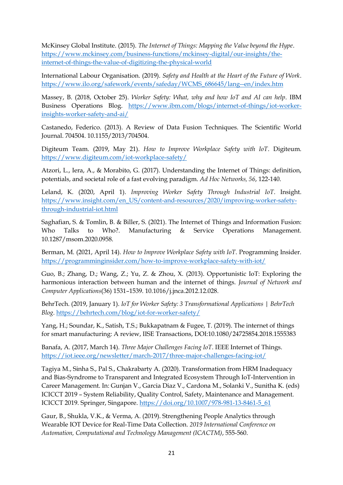McKinsey Global Institute. (2015). *The Internet of Things: Mapping the Value beyond the Hype*. [https://www.mckinsey.com/business-functions/mckinsey-digital/our-insights/the](https://www.mckinsey.com/business-functions/mckinsey-digital/our-insights/the-internet-of-things-the-value-of-digitizing-the-physical-world)[internet-of-things-the-value-of-digitizing-the-physical-world](https://www.mckinsey.com/business-functions/mckinsey-digital/our-insights/the-internet-of-things-the-value-of-digitizing-the-physical-world)

International Labour Organisation. (2019). *Safety and Health at the Heart of the Future of Work*. [https://www.ilo.org/safework/events/safeday/WCMS\\_686645/lang--en/index.htm](https://www.ilo.org/safework/events/safeday/WCMS_686645/lang--en/index.htm)

Massey, B. (2018, October 25). *Worker Safety: What, why and how IoT and AI can help*. IBM Business Operations Blog. [https://www.ibm.com/blogs/internet-of-things/iot-worker](https://www.ibm.com/blogs/internet-of-things/iot-worker-insights-worker-safety-and-ai/)[insights-worker-safety-and-ai/](https://www.ibm.com/blogs/internet-of-things/iot-worker-insights-worker-safety-and-ai/)

Castanedo, Federico. (2013). A Review of Data Fusion Techniques. The Scientific World Journal. 704504. 10.1155/2013/704504.

Digiteum Team. (2019, May 21). *How to Improve Workplace Safety with IoT*. Digiteum. <https://www.digiteum.com/iot-workplace-safety/>

Atzori, L., Iera, A., & Morabito, G. (2017). Understanding the Internet of Things: definition, potentials, and societal role of a fast evolving paradigm. *Ad Hoc Networks, 56*, 122-140.

Leland, K. (2020, April 1). *Improving Worker Safety Through Industrial IoT*. Insight. [https://www.insight.com/en\\_US/content-and-resources/2020/improving-worker-safety](https://www.insight.com/en_US/content-and-resources/2020/improving-worker-safety-through-industrial-iot.html)[through-industrial-iot.html](https://www.insight.com/en_US/content-and-resources/2020/improving-worker-safety-through-industrial-iot.html)

Saghafian, S. & Tomlin, B. & Biller, S. (2021). The Internet of Things and Information Fusion: Who Talks to Who?. Manufacturing & Service Operations Management. 10.1287/msom.2020.0958.

Berman, M. (2021, April 14). *How to Improve Workplace Safety with IoT*. Programming Insider. <https://programminginsider.com/how-to-improve-workplace-safety-with-iot/>

Guo, B.; Zhang, D.; Wang, Z.; Yu, Z. & Zhou, X. (2013). Opportunistic IoT: Exploring the harmonious interaction between human and the internet of things. *Journal of Network and Computer Applications*(36) 1531–1539. 10.1016/j.jnca.2012.12.028.

BehrTech. (2019, January 1). *IoT for Worker Safety: 3 Transformational Applications | BehrTech Blog*[. https://behrtech.com/blog/iot-for-worker-safety/](https://behrtech.com/blog/iot-for-worker-safety/)

Yang, H.; Soundar, K., Satish, T.S.; Bukkapatnam & Fugee, T. (2019). The internet of things for smart manufacturing: A review, IISE Transactions, DOI:10.1080/24725854.2018.1555383

Banafa, A. (2017, March 14). *Three Major Challenges Facing IoT*. IEEE Internet of Things. <https://iot.ieee.org/newsletter/march-2017/three-major-challenges-facing-iot/>

Tagiya M., Sinha S., Pal S., Chakrabarty A. (2020). Transformation from HRM Inadequacy and Bias-Syndrome to Transparent and Integrated Ecosystem Through IoT-Intervention in Career Management. In: Gunjan V., Garcia Diaz V., Cardona M., Solanki V., Sunitha K. (eds) ICICCT 2019 – System Reliability, Quality Control, Safety, Maintenance and Management. ICICCT 2019. Springer, Singapore. [https://doi.org/10.1007/978-981-13-8461-5\\_61](https://doi.org/10.1007/978-981-13-8461-5_61)

Gaur, B., Shukla, V.K., & Verma, A. (2019). Strengthening People Analytics through Wearable IOT Device for Real-Time Data Collection. *2019 International Conference on Automation, Computational and Technology Management (ICACTM)*, 555-560.